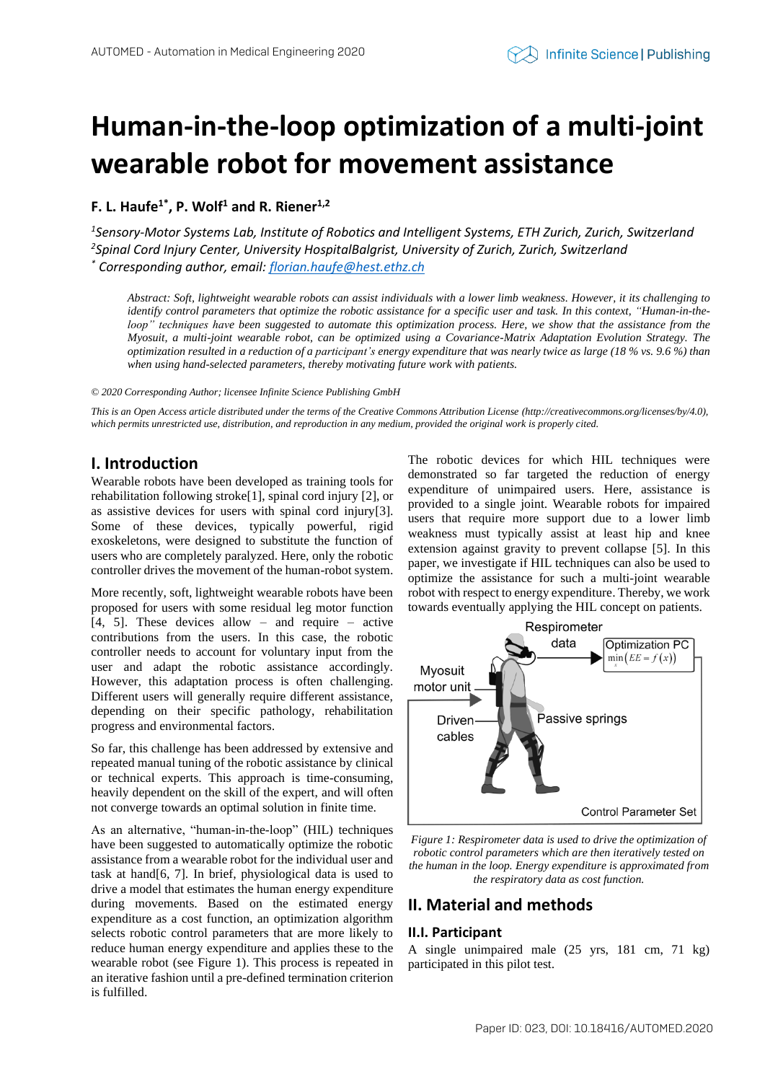# **Human-in-the-loop optimization of a multi-joint wearable robot for movement assistance**

**F. L. Haufe1\* , P. Wolf<sup>1</sup> and R. Riener1,2**

*1 Sensory-Motor Systems Lab, Institute of Robotics and Intelligent Systems, ETH Zurich, Zurich, Switzerland 2 Spinal Cord Injury Center, University HospitalBalgrist, University of Zurich, Zurich, Switzerland \* Corresponding author, email[: florian.haufe@hest.ethz.ch](mailto:florian.haufe@hest.ethz.ch)*

*Abstract: Soft, lightweight wearable robots can assist individuals with a lower limb weakness. However, it its challenging to identify control parameters that optimize the robotic assistance for a specific user and task. In this context, "Human-in-theloop" techniques have been suggested to automate this optimization process. Here, we show that the assistance from the Myosuit, a multi-joint wearable robot, can be optimized using a Covariance-Matrix Adaptation Evolution Strategy. The optimization resulted in a reduction of a participant's energy expenditure that was nearly twice as large (18 % vs. 9.6 %) than when using hand-selected parameters, thereby motivating future work with patients.*

*© 2020 Corresponding Author; licensee Infinite Science Publishing GmbH*

*This is an Open Access article distributed under the terms of the Creative Commons Attribution License (http://creativecommons.org/licenses/by/4.0),*  which permits unrestricted use, distribution, and reproduction in any medium, provided the original work is properly cited.

# **I. Introduction**

Wearable robots have been developed as training tools for rehabilitation following stroke[1], spinal cord injury [2], or as assistive devices for users with spinal cord injury[3]. Some of these devices, typically powerful, rigid exoskeletons, were designed to substitute the function of users who are completely paralyzed. Here, only the robotic controller drives the movement of the human-robot system.

More recently, soft, lightweight wearable robots have been proposed for users with some residual leg motor function [4, 5]. These devices allow – and require – active contributions from the users. In this case, the robotic controller needs to account for voluntary input from the user and adapt the robotic assistance accordingly. However, this adaptation process is often challenging. Different users will generally require different assistance, depending on their specific pathology, rehabilitation progress and environmental factors.

So far, this challenge has been addressed by extensive and repeated manual tuning of the robotic assistance by clinical or technical experts. This approach is time-consuming, heavily dependent on the skill of the expert, and will often not converge towards an optimal solution in finite time.

As an alternative, "human-in-the-loop" (HIL) techniques have been suggested to automatically optimize the robotic assistance from a wearable robot for the individual user and task at hand[6, 7]. In brief, physiological data is used to drive a model that estimates the human energy expenditure during movements. Based on the estimated energy expenditure as a cost function, an optimization algorithm selects robotic control parameters that are more likely to reduce human energy expenditure and applies these to the wearable robot (see [Figure 1\)](#page-0-0). This process is repeated in an iterative fashion until a pre-defined termination criterion is fulfilled.

The robotic devices for which HIL techniques were demonstrated so far targeted the reduction of energy expenditure of unimpaired users. Here, assistance is provided to a single joint. Wearable robots for impaired users that require more support due to a lower limb weakness must typically assist at least hip and knee extension against gravity to prevent collapse [5]. In this paper, we investigate if HIL techniques can also be used to optimize the assistance for such a multi-joint wearable robot with respect to energy expenditure. Thereby, we work towards eventually applying the HIL concept on patients.



<span id="page-0-0"></span>*Figure 1: Respirometer data is used to drive the optimization of robotic control parameters which are then iteratively tested on the human in the loop. Energy expenditure is approximated from the respiratory data as cost function.*

## **II. Material and methods**

## **II.I. Participant**

A single unimpaired male (25 yrs, 181 cm, 71 kg) participated in this pilot test.